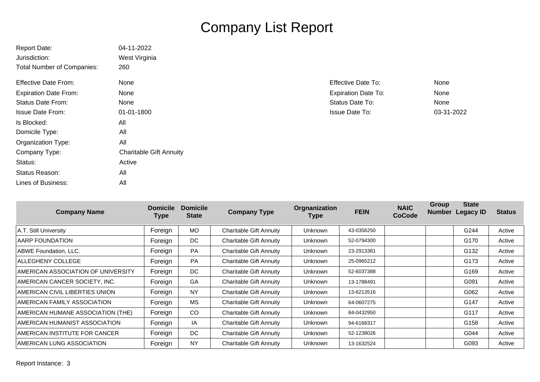## Company List Report

| <b>Report Date:</b>               | 04-11-2022                     |                            |            |
|-----------------------------------|--------------------------------|----------------------------|------------|
| Jurisdiction:                     | West Virginia                  |                            |            |
| <b>Total Number of Companies:</b> | 260                            |                            |            |
| <b>Effective Date From:</b>       | None                           | <b>Effective Date To:</b>  | None       |
| <b>Expiration Date From:</b>      | None                           | <b>Expiration Date To:</b> | None       |
| <b>Status Date From:</b>          | None                           | Status Date To:            | None       |
| <b>Issue Date From:</b>           | 01-01-1800                     | <b>Issue Date To:</b>      | 03-31-2022 |
| Is Blocked:                       | All                            |                            |            |
| Domicile Type:                    | All                            |                            |            |
| Organization Type:                | All                            |                            |            |
| Company Type:                     | <b>Charitable Gift Annuity</b> |                            |            |
| Status:                           | Active                         |                            |            |
| Status Reason:                    | All                            |                            |            |
| Lines of Business:                | All                            |                            |            |

| <b>Company Name</b>                | <b>Domicile</b><br>Type | <b>Domicile</b><br><b>State</b> | <b>Company Type</b>            | Orgnanization<br><b>Type</b> | <b>FEIN</b> | <b>NAIC</b><br><b>CoCode</b> | Group<br><b>Number</b> | <b>State</b><br><b>Legacy ID</b> | <b>Status</b> |
|------------------------------------|-------------------------|---------------------------------|--------------------------------|------------------------------|-------------|------------------------------|------------------------|----------------------------------|---------------|
| A.T. Still University              | Foreign                 | <b>MO</b>                       | <b>Charitable Gift Annuity</b> | Unknown                      | 43-0356250  |                              |                        | G244                             | Active        |
| AARP FOUNDATION                    | Foreign                 | DC.                             | <b>Charitable Gift Annuity</b> | Unknown                      | 52-0794300  |                              |                        | G170                             | Active        |
| ABWE Foundation, LLC.              | Foreign                 | <b>PA</b>                       | <b>Charitable Gift Annuity</b> | Unknown                      | 23-2913381  |                              |                        | G132                             | Active        |
| <b>ALLEGHENY COLLEGE</b>           | Foreign                 | <b>PA</b>                       | <b>Charitable Gift Annuity</b> | <b>Unknown</b>               | 25-0965212  |                              |                        | G173                             | Active        |
| AMERICAN ASSOCIATION OF UNIVERSITY | Foreign                 | DC                              | <b>Charitable Gift Annuity</b> | Unknown                      | 52-6037388  |                              |                        | G169                             | Active        |
| AMERICAN CANCER SOCIETY, INC.      | Foreign                 | GA                              | <b>Charitable Gift Annuity</b> | <b>Unknown</b>               | 13-1788491  |                              |                        | G091                             | Active        |
| AMERICAN CIVIL LIBERTIES UNION     | Foreign                 | <b>NY</b>                       | <b>Charitable Gift Annuity</b> | <b>Unknown</b>               | 13-6213516  |                              |                        | G062                             | Active        |
| AMERICAN FAMILY ASSOCIATION        | Foreign                 | <b>MS</b>                       | <b>Charitable Gift Annuity</b> | Unknown                      | 64-0607275  |                              |                        | G147                             | Active        |
| AMERICAN HUMANE ASSOCIATION (THE)  | Foreign                 | <sub>CO</sub>                   | <b>Charitable Gift Annuity</b> | <b>Unknown</b>               | 84-0432950  |                              |                        | G117                             | Active        |
| AMERICAN HUMANIST ASSOCIATION      | Foreign                 | IA                              | Charitable Gift Annuity        | Unknown                      | 94-6168317  |                              |                        | G158                             | Active        |
| AMERICAN INSTITUTE FOR CANCER      | Foreign                 | DC                              | <b>Charitable Gift Annuity</b> | Unknown                      | 52-1238026  |                              |                        | G044                             | Active        |
| AMERICAN LUNG ASSOCIATION          | Foreign                 | <b>NY</b>                       | Charitable Gift Annuity        | Unknown                      | 13-1632524  |                              |                        | G093                             | Active        |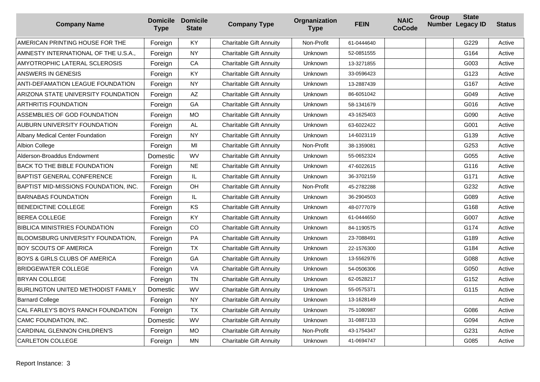| <b>Company Name</b>                       | <b>Domicile Domicile</b><br><b>Type</b> | <b>State</b> | <b>Company Type</b>            | Orgnanization<br><b>Type</b> | <b>FEIN</b> | <b>NAIC</b><br><b>CoCode</b> | Group | <b>State</b><br>Number Legacy ID | <b>Status</b> |
|-------------------------------------------|-----------------------------------------|--------------|--------------------------------|------------------------------|-------------|------------------------------|-------|----------------------------------|---------------|
| AMERICAN PRINTING HOUSE FOR THE           | Foreign                                 | <b>KY</b>    | <b>Charitable Gift Annuity</b> | Non-Profit                   | 61-0444640  |                              |       | G229                             | Active        |
| AMNESTY INTERNATIONAL OF THE U.S.A.,      | Foreign                                 | <b>NY</b>    | <b>Charitable Gift Annuity</b> | Unknown                      | 52-0851555  |                              |       | G164                             | Active        |
| AMYOTROPHIC LATERAL SCLEROSIS             | Foreign                                 | CA           | <b>Charitable Gift Annuity</b> | Unknown                      | 13-3271855  |                              |       | G003                             | Active        |
| ANSWERS IN GENESIS                        | Foreign                                 | KY           | <b>Charitable Gift Annuity</b> | Unknown                      | 33-0596423  |                              |       | G123                             | Active        |
| ANTI-DEFAMATION LEAGUE FOUNDATION         | Foreign                                 | <b>NY</b>    | <b>Charitable Gift Annuity</b> | <b>Unknown</b>               | 13-2887439  |                              |       | G167                             | Active        |
| ARIZONA STATE UNIVERSITY FOUNDATION       | Foreign                                 | AZ           | <b>Charitable Gift Annuity</b> | <b>Unknown</b>               | 86-6051042  |                              |       | G049                             | Active        |
| <b>ARTHRITIS FOUNDATION</b>               | Foreign                                 | GA           | <b>Charitable Gift Annuity</b> | Unknown                      | 58-1341679  |                              |       | G016                             | Active        |
| ASSEMBLIES OF GOD FOUNDATION              | Foreign                                 | <b>MO</b>    | <b>Charitable Gift Annuity</b> | Unknown                      | 43-1625403  |                              |       | G090                             | Active        |
| AUBURN UNIVERSITY FOUNDATION              | Foreign                                 | AL           | <b>Charitable Gift Annuity</b> | <b>Unknown</b>               | 63-6022422  |                              |       | G001                             | Active        |
| <b>Albany Medical Center Foundation</b>   | Foreign                                 | <b>NY</b>    | <b>Charitable Gift Annuity</b> | <b>Unknown</b>               | 14-6023119  |                              |       | G139                             | Active        |
| Albion College                            | Foreign                                 | MI           | <b>Charitable Gift Annuity</b> | Non-Profit                   | 38-1359081  |                              |       | G253                             | Active        |
| Alderson-Broaddus Endowment               | Domestic                                | <b>WV</b>    | <b>Charitable Gift Annuity</b> | Unknown                      | 55-0652324  |                              |       | G055                             | Active        |
| <b>BACK TO THE BIBLE FOUNDATION</b>       | Foreign                                 | <b>NE</b>    | <b>Charitable Gift Annuity</b> | <b>Unknown</b>               | 47-6022615  |                              |       | G116                             | Active        |
| <b>BAPTIST GENERAL CONFERENCE</b>         | Foreign                                 | IL           | <b>Charitable Gift Annuity</b> | Unknown                      | 36-3702159  |                              |       | G171                             | Active        |
| BAPTIST MID-MISSIONS FOUNDATION, INC.     | Foreign                                 | OH           | <b>Charitable Gift Annuity</b> | Non-Profit                   | 45-2782288  |                              |       | G232                             | Active        |
| <b>BARNABAS FOUNDATION</b>                | Foreign                                 | IL           | <b>Charitable Gift Annuity</b> | Unknown                      | 36-2904503  |                              |       | G089                             | Active        |
| BENEDICTINE COLLEGE                       | Foreign                                 | KS           | <b>Charitable Gift Annuity</b> | Unknown                      | 48-0777079  |                              |       | G168                             | Active        |
| <b>BEREA COLLEGE</b>                      | Foreign                                 | <b>KY</b>    | <b>Charitable Gift Annuity</b> | <b>Unknown</b>               | 61-0444650  |                              |       | G007                             | Active        |
| <b>BIBLICA MINISTRIES FOUNDATION</b>      | Foreign                                 | CO           | <b>Charitable Gift Annuity</b> | Unknown                      | 84-1190575  |                              |       | G174                             | Active        |
| BLOOMSBURG UNIVERSITY FOUNDATION,         | Foreign                                 | PA           | <b>Charitable Gift Annuity</b> | Unknown                      | 23-7088491  |                              |       | G189                             | Active        |
| <b>BOY SCOUTS OF AMERICA</b>              | Foreign                                 | <b>TX</b>    | <b>Charitable Gift Annuity</b> | Unknown                      | 22-1576300  |                              |       | G184                             | Active        |
| <b>BOYS &amp; GIRLS CLUBS OF AMERICA</b>  | Foreign                                 | GA           | <b>Charitable Gift Annuity</b> | <b>Unknown</b>               | 13-5562976  |                              |       | G088                             | Active        |
| <b>BRIDGEWATER COLLEGE</b>                | Foreign                                 | VA           | <b>Charitable Gift Annuity</b> | Unknown                      | 54-0506306  |                              |       | G050                             | Active        |
| <b>BRYAN COLLEGE</b>                      | Foreign                                 | <b>TN</b>    | <b>Charitable Gift Annuity</b> | Unknown                      | 62-0528217  |                              |       | G152                             | Active        |
| <b>BURLINGTON UNITED METHODIST FAMILY</b> | Domestic                                | <b>WV</b>    | <b>Charitable Gift Annuity</b> | Unknown                      | 55-0575371  |                              |       | G115                             | Active        |
| <b>Barnard College</b>                    | Foreign                                 | <b>NY</b>    | Charitable Gift Annuity        | <b>Unknown</b>               | 13-1628149  |                              |       |                                  | Active        |
| CAL FARLEY'S BOYS RANCH FOUNDATION        | Foreign                                 | <b>TX</b>    | <b>Charitable Gift Annuity</b> | Unknown                      | 75-1080987  |                              |       | G086                             | Active        |
| CAMC FOUNDATION, INC.                     | Domestic                                | <b>WV</b>    | <b>Charitable Gift Annuity</b> | Unknown                      | 31-0887133  |                              |       | G094                             | Active        |
| CARDINAL GLENNON CHILDREN'S               | Foreign                                 | <b>MO</b>    | <b>Charitable Gift Annuity</b> | Non-Profit                   | 43-1754347  |                              |       | G231                             | Active        |
| <b>CARLETON COLLEGE</b>                   | Foreign                                 | ΜN           | Charitable Gift Annuity        | Unknown                      | 41-0694747  |                              |       | G085                             | Active        |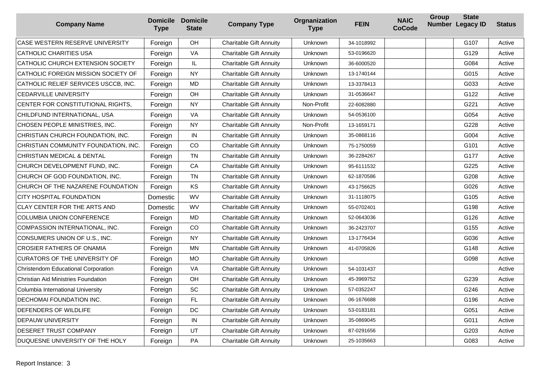| <b>Company Name</b>                        | <b>Domicile</b><br><b>Type</b> | <b>Domicile</b><br><b>State</b> | <b>Company Type</b>            | Orgnanization<br><b>Type</b> | <b>FEIN</b> | <b>NAIC</b><br><b>CoCode</b> | Group | <b>State</b><br>Number Legacy ID | <b>Status</b> |
|--------------------------------------------|--------------------------------|---------------------------------|--------------------------------|------------------------------|-------------|------------------------------|-------|----------------------------------|---------------|
| CASE WESTERN RESERVE UNIVERSITY            | Foreign                        | OH                              | <b>Charitable Gift Annuity</b> | Unknown                      | 34-1018992  |                              |       | G107                             | Active        |
| <b>CATHOLIC CHARITIES USA</b>              | Foreign                        | VA                              | <b>Charitable Gift Annuity</b> | Unknown                      | 53-0196620  |                              |       | G129                             | Active        |
| CATHOLIC CHURCH EXTENSION SOCIETY          | Foreign                        | IL.                             | <b>Charitable Gift Annuity</b> | Unknown                      | 36-6000520  |                              |       | G084                             | Active        |
| CATHOLIC FOREIGN MISSION SOCIETY OF        | Foreign                        | NY                              | <b>Charitable Gift Annuity</b> | Unknown                      | 13-1740144  |                              |       | G015                             | Active        |
| CATHOLIC RELIEF SERVICES USCCB, INC.       | Foreign                        | <b>MD</b>                       | <b>Charitable Gift Annuity</b> | Unknown                      | 13-3378413  |                              |       | G033                             | Active        |
| <b>CEDARVILLE UNIVERSITY</b>               | Foreign                        | OH                              | <b>Charitable Gift Annuity</b> | Unknown                      | 31-0536647  |                              |       | G122                             | Active        |
| CENTER FOR CONSTITUTIONAL RIGHTS,          | Foreign                        | <b>NY</b>                       | <b>Charitable Gift Annuity</b> | Non-Profit                   | 22-6082880  |                              |       | G221                             | Active        |
| CHILDFUND INTERNATIONAL, USA               | Foreign                        | VA                              | <b>Charitable Gift Annuity</b> | Unknown                      | 54-0536100  |                              |       | G054                             | Active        |
| CHOSEN PEOPLE MINISTRIES, INC.             | Foreign                        | NY.                             | <b>Charitable Gift Annuity</b> | Non-Profit                   | 13-1659171  |                              |       | G228                             | Active        |
| CHRISTIAN CHURCH FOUNDATION, INC.          | Foreign                        | IN                              | <b>Charitable Gift Annuity</b> | Unknown                      | 35-0868116  |                              |       | G004                             | Active        |
| CHRISTIAN COMMUNITY FOUNDATION, INC.       | Foreign                        | CO                              | <b>Charitable Gift Annuity</b> | Unknown                      | 75-1750059  |                              |       | G101                             | Active        |
| <b>CHRISTIAN MEDICAL &amp; DENTAL</b>      | Foreign                        | <b>TN</b>                       | <b>Charitable Gift Annuity</b> | Unknown                      | 36-2284267  |                              |       | G177                             | Active        |
| CHURCH DEVELOPMENT FUND, INC.              | Foreign                        | CA                              | <b>Charitable Gift Annuity</b> | <b>Unknown</b>               | 95-6111532  |                              |       | G225                             | Active        |
| CHURCH OF GOD FOUNDATION, INC.             | Foreign                        | <b>TN</b>                       | <b>Charitable Gift Annuity</b> | <b>Unknown</b>               | 62-1870586  |                              |       | G208                             | Active        |
| CHURCH OF THE NAZARENE FOUNDATION          | Foreign                        | KS                              | <b>Charitable Gift Annuity</b> | Unknown                      | 43-1756625  |                              |       | G026                             | Active        |
| CITY HOSPITAL FOUNDATION                   | Domestic                       | <b>WV</b>                       | <b>Charitable Gift Annuity</b> | Unknown                      | 31-1118075  |                              |       | G105                             | Active        |
| CLAY CENTER FOR THE ARTS AND               | Domestic                       | WV                              | <b>Charitable Gift Annuity</b> | Unknown                      | 55-0702401  |                              |       | G198                             | Active        |
| <b>COLUMBIA UNION CONFERENCE</b>           | Foreign                        | <b>MD</b>                       | <b>Charitable Gift Annuity</b> | Unknown                      | 52-0643036  |                              |       | G126                             | Active        |
| COMPASSION INTERNATIONAL, INC.             | Foreign                        | CO                              | <b>Charitable Gift Annuity</b> | Unknown                      | 36-2423707  |                              |       | G155                             | Active        |
| CONSUMERS UNION OF U.S., INC.              | Foreign                        | <b>NY</b>                       | <b>Charitable Gift Annuity</b> | Unknown                      | 13-1776434  |                              |       | G036                             | Active        |
| <b>CROSIER FATHERS OF ONAMIA</b>           | Foreign                        | MN                              | <b>Charitable Gift Annuity</b> | Unknown                      | 41-0705826  |                              |       | G148                             | Active        |
| CURATORS OF THE UNIVERSITY OF              | Foreign                        | MO                              | <b>Charitable Gift Annuity</b> | <b>Unknown</b>               |             |                              |       | G098                             | Active        |
| Christendom Educational Corporation        | Foreign                        | VA                              | <b>Charitable Gift Annuity</b> | Unknown                      | 54-1031437  |                              |       |                                  | Active        |
| <b>Christian Aid Ministries Foundation</b> | Foreign                        | OH                              | <b>Charitable Gift Annuity</b> | Unknown                      | 45-3969752  |                              |       | G239                             | Active        |
| Columbia International University          | Foreign                        | SC                              | <b>Charitable Gift Annuity</b> | Unknown                      | 57-0352247  |                              |       | G246                             | Active        |
| DECHOMAI FOUNDATION INC.                   | Foreign                        | <b>FL</b>                       | Charitable Gift Annuity        | <b>Unknown</b>               | 06-1676688  |                              |       | G196                             | Active        |
| DEFENDERS OF WILDLIFE                      | Foreign                        | DC                              | <b>Charitable Gift Annuity</b> | <b>Unknown</b>               | 53-0183181  |                              |       | G051                             | Active        |
| DEPAUW UNIVERSITY                          | Foreign                        | IN                              | <b>Charitable Gift Annuity</b> | Unknown                      | 35-0869045  |                              |       | G011                             | Active        |
| DESERET TRUST COMPANY                      | Foreign                        | UT                              | <b>Charitable Gift Annuity</b> | Unknown                      | 87-0291656  |                              |       | G203                             | Active        |
| DUQUESNE UNIVERSITY OF THE HOLY            | Foreign                        | <b>PA</b>                       | <b>Charitable Gift Annuity</b> | <b>Unknown</b>               | 25-1035663  |                              |       | G083                             | Active        |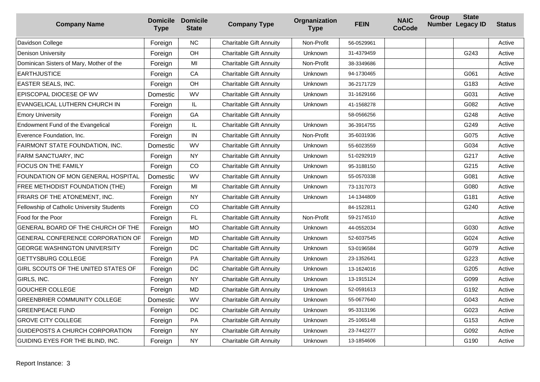| <b>Company Name</b>                        | <b>Type</b> | <b>Domicile Domicile</b><br><b>State</b> | <b>Company Type</b>            | Orgnanization<br><b>Type</b> | <b>FEIN</b> | <b>NAIC</b><br><b>CoCode</b> | Group | <b>State</b><br>Number Legacy ID | <b>Status</b> |
|--------------------------------------------|-------------|------------------------------------------|--------------------------------|------------------------------|-------------|------------------------------|-------|----------------------------------|---------------|
| Davidson College                           | Foreign     | <b>NC</b>                                | <b>Charitable Gift Annuity</b> | Non-Profit                   | 56-0529961  |                              |       |                                  | Active        |
| <b>Denison University</b>                  | Foreign     | OH                                       | <b>Charitable Gift Annuity</b> | Unknown                      | 31-4379459  |                              |       | G243                             | Active        |
| Dominican Sisters of Mary, Mother of the   | Foreign     | MI                                       | <b>Charitable Gift Annuity</b> | Non-Profit                   | 38-3349686  |                              |       |                                  | Active        |
| <b>EARTHJUSTICE</b>                        | Foreign     | CA                                       | <b>Charitable Gift Annuity</b> | <b>Unknown</b>               | 94-1730465  |                              |       | G061                             | Active        |
| EASTER SEALS, INC.                         | Foreign     | OH                                       | <b>Charitable Gift Annuity</b> | Unknown                      | 36-2171729  |                              |       | G183                             | Active        |
| EPISCOPAL DIOCESE OF WV                    | Domestic    | WV                                       | <b>Charitable Gift Annuity</b> | Unknown                      | 31-1629166  |                              |       | G031                             | Active        |
| EVANGELICAL LUTHERN CHURCH IN              | Foreign     | IL                                       | <b>Charitable Gift Annuity</b> | Unknown                      | 41-1568278  |                              |       | G082                             | Active        |
| <b>Emory University</b>                    | Foreign     | GA                                       | <b>Charitable Gift Annuity</b> |                              | 58-0566256  |                              |       | G248                             | Active        |
| Endowment Fund of the Evangelical          | Foreign     | IL                                       | <b>Charitable Gift Annuity</b> | <b>Unknown</b>               | 36-3914755  |                              |       | G249                             | Active        |
| Everence Foundation, Inc.                  | Foreign     | IN                                       | <b>Charitable Gift Annuity</b> | Non-Profit                   | 35-6031936  |                              |       | G075                             | Active        |
| FAIRMONT STATE FOUNDATION, INC.            | Domestic    | <b>WV</b>                                | <b>Charitable Gift Annuity</b> | Unknown                      | 55-6023559  |                              |       | G034                             | Active        |
| FARM SANCTUARY, INC                        | Foreign     | <b>NY</b>                                | <b>Charitable Gift Annuity</b> | Unknown                      | 51-0292919  |                              |       | G217                             | Active        |
| FOCUS ON THE FAMILY                        | Foreign     | CO                                       | <b>Charitable Gift Annuity</b> | Unknown                      | 95-3188150  |                              |       | G215                             | Active        |
| FOUNDATION OF MON GENERAL HOSPITAL         | Domestic    | WV                                       | <b>Charitable Gift Annuity</b> | Unknown                      | 55-0570338  |                              |       | G081                             | Active        |
| FREE METHODIST FOUNDATION (THE)            | Foreign     | MI                                       | <b>Charitable Gift Annuity</b> | <b>Unknown</b>               | 73-1317073  |                              |       | G080                             | Active        |
| <b>FRIARS OF THE ATONEMENT, INC.</b>       | Foreign     | <b>NY</b>                                | <b>Charitable Gift Annuity</b> | Unknown                      | 14-1344809  |                              |       | G181                             | Active        |
| Fellowship of Catholic University Students | Foreign     | CO                                       | <b>Charitable Gift Annuity</b> |                              | 84-1522811  |                              |       | G240                             | Active        |
| Food for the Poor                          | Foreign     | FL.                                      | <b>Charitable Gift Annuity</b> | Non-Profit                   | 59-2174510  |                              |       |                                  | Active        |
| GENERAL BOARD OF THE CHURCH OF THE         | Foreign     | <b>MO</b>                                | <b>Charitable Gift Annuity</b> | Unknown                      | 44-0552034  |                              |       | G030                             | Active        |
| GENERAL CONFERENCE CORPORATION OF          | Foreign     | <b>MD</b>                                | <b>Charitable Gift Annuity</b> | <b>Unknown</b>               | 52-6037545  |                              |       | G024                             | Active        |
| <b>GEORGE WASHINGTON UNIVERSITY</b>        | Foreign     | DC                                       | <b>Charitable Gift Annuity</b> | Unknown                      | 53-0196584  |                              |       | G079                             | Active        |
| <b>GETTYSBURG COLLEGE</b>                  | Foreign     | PA                                       | <b>Charitable Gift Annuity</b> | Unknown                      | 23-1352641  |                              |       | G223                             | Active        |
| GIRL SCOUTS OF THE UNITED STATES OF        | Foreign     | DC                                       | <b>Charitable Gift Annuity</b> | Unknown                      | 13-1624016  |                              |       | G205                             | Active        |
| GIRLS, INC.                                | Foreign     | <b>NY</b>                                | <b>Charitable Gift Annuity</b> | Unknown                      | 13-1915124  |                              |       | G099                             | Active        |
| <b>GOUCHER COLLEGE</b>                     | Foreign     | <b>MD</b>                                | <b>Charitable Gift Annuity</b> | Unknown                      | 52-0591613  |                              |       | G192                             | Active        |
| <b>GREENBRIER COMMUNITY COLLEGE</b>        | Domestic    | <b>WV</b>                                | <b>Charitable Gift Annuity</b> | Unknown                      | 55-0677640  |                              |       | G043                             | Active        |
| <b>GREENPEACE FUND</b>                     | Foreign     | DC                                       | <b>Charitable Gift Annuity</b> | <b>Unknown</b>               | 95-3313196  |                              |       | G023                             | Active        |
| <b>GROVE CITY COLLEGE</b>                  | Foreign     | PA                                       | <b>Charitable Gift Annuity</b> | Unknown                      | 25-1065148  |                              |       | G <sub>153</sub>                 | Active        |
| GUIDEPOSTS A CHURCH CORPORATION            | Foreign     | <b>NY</b>                                | <b>Charitable Gift Annuity</b> | Unknown                      | 23-7442277  |                              |       | G092                             | Active        |
| GUIDING EYES FOR THE BLIND, INC.           | Foreign     | <b>NY</b>                                | <b>Charitable Gift Annuity</b> | Unknown                      | 13-1854606  |                              |       | G190                             | Active        |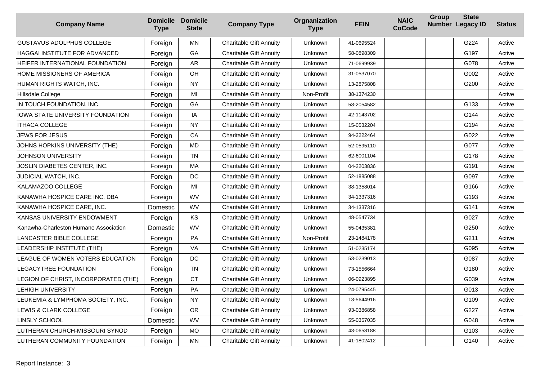| <b>Company Name</b>                   | <b>Type</b> | <b>Domicile Domicile</b><br><b>State</b> | <b>Company Type</b>            | Orgnanization<br><b>Type</b> | <b>FEIN</b> | <b>NAIC</b><br><b>CoCode</b> | Group | <b>State</b><br>Number Legacy ID | <b>Status</b> |
|---------------------------------------|-------------|------------------------------------------|--------------------------------|------------------------------|-------------|------------------------------|-------|----------------------------------|---------------|
| <b>GUSTAVUS ADOLPHUS COLLEGE</b>      | Foreign     | MN                                       | <b>Charitable Gift Annuity</b> | Unknown                      | 41-0695524  |                              |       | G224                             | Active        |
| HAGGAI INSTITUTE FOR ADVANCED         | Foreign     | GA                                       | <b>Charitable Gift Annuity</b> | Unknown                      | 58-0898309  |                              |       | G197                             | Active        |
| HEIFER INTERNATIONAL FOUNDATION       | Foreign     | AR                                       | <b>Charitable Gift Annuity</b> | Unknown                      | 71-0699939  |                              |       | G078                             | Active        |
| HOME MISSIONERS OF AMERICA            | Foreign     | OH                                       | <b>Charitable Gift Annuity</b> | Unknown                      | 31-0537070  |                              |       | G002                             | Active        |
| HUMAN RIGHTS WATCH, INC.              | Foreign     | <b>NY</b>                                | <b>Charitable Gift Annuity</b> | Unknown                      | 13-2875808  |                              |       | G200                             | Active        |
| Hillsdale College                     | Foreign     | MI                                       | <b>Charitable Gift Annuity</b> | Non-Profit                   | 38-1374230  |                              |       |                                  | Active        |
| IN TOUCH FOUNDATION, INC.             | Foreign     | GA                                       | <b>Charitable Gift Annuity</b> | Unknown                      | 58-2054582  |                              |       | G133                             | Active        |
| IOWA STATE UNIVERSITY FOUNDATION      | Foreign     | ΙA                                       | <b>Charitable Gift Annuity</b> | Unknown                      | 42-1143702  |                              |       | G144                             | Active        |
| <b>ITHACA COLLEGE</b>                 | Foreign     | <b>NY</b>                                | <b>Charitable Gift Annuity</b> | Unknown                      | 15-0532204  |                              |       | G194                             | Active        |
| JEWS FOR JESUS                        | Foreign     | CA                                       | <b>Charitable Gift Annuity</b> | Unknown                      | 94-2222464  |                              |       | G022                             | Active        |
| JOHNS HOPKINS UNIVERSITY (THE)        | Foreign     | <b>MD</b>                                | <b>Charitable Gift Annuity</b> | Unknown                      | 52-0595110  |                              |       | G077                             | Active        |
| JOHNSON UNIVERSITY                    | Foreign     | <b>TN</b>                                | <b>Charitable Gift Annuity</b> | Unknown                      | 62-6001104  |                              |       | G178                             | Active        |
| JOSLIN DIABETES CENTER, INC.          | Foreign     | MA                                       | <b>Charitable Gift Annuity</b> | Unknown                      | 04-2203836  |                              |       | G191                             | Active        |
| JUDICIAL WATCH, INC.                  | Foreign     | DC                                       | <b>Charitable Gift Annuity</b> | Unknown                      | 52-1885088  |                              |       | G097                             | Active        |
| <b>KALAMAZOO COLLEGE</b>              | Foreign     | MI                                       | <b>Charitable Gift Annuity</b> | Unknown                      | 38-1358014  |                              |       | G166                             | Active        |
| KANAWHA HOSPICE CARE INC. DBA         | Foreign     | WV                                       | <b>Charitable Gift Annuity</b> | Unknown                      | 34-1337316  |                              |       | G193                             | Active        |
| KANAWHA HOSPICE CARE, INC.            | Domestic    | WV                                       | <b>Charitable Gift Annuity</b> | Unknown                      | 34-1337316  |                              |       | G141                             | Active        |
| KANSAS UNIVERSITY ENDOWMENT           | Foreign     | KS                                       | <b>Charitable Gift Annuity</b> | Unknown                      | 48-0547734  |                              |       | G027                             | Active        |
| Kanawha-Charleston Humane Association | Domestic    | WV                                       | <b>Charitable Gift Annuity</b> | Unknown                      | 55-0435381  |                              |       | G250                             | Active        |
| LANCASTER BIBLE COLLEGE               | Foreign     | PA                                       | <b>Charitable Gift Annuity</b> | Non-Profit                   | 23-1484178  |                              |       | G211                             | Active        |
| LEADERSHIP INSTITUTE (THE)            | Foreign     | VA                                       | <b>Charitable Gift Annuity</b> | Unknown                      | 51-0235174  |                              |       | G095                             | Active        |
| LEAGUE OF WOMEN VOTERS EDUCATION      | Foreign     | DC                                       | <b>Charitable Gift Annuity</b> | Unknown                      | 53-0239013  |                              |       | G087                             | Active        |
| LEGACYTREE FOUNDATION                 | Foreign     | <b>TN</b>                                | <b>Charitable Gift Annuity</b> | Unknown                      | 73-1556664  |                              |       | G180                             | Active        |
| LEGION OF CHRIST, INCORPORATED (THE)  | Foreign     | <b>CT</b>                                | <b>Charitable Gift Annuity</b> | Unknown                      | 06-0923895  |                              |       | G039                             | Active        |
| <b>LEHIGH UNIVERSITY</b>              | Foreign     | PA                                       | <b>Charitable Gift Annuity</b> | Unknown                      | 24-0795445  |                              |       | G013                             | Active        |
| LEUKEMIA & LYMPHOMA SOCIETY, INC.     | Foreign     | <b>NY</b>                                | <b>Charitable Gift Annuity</b> | Unknown                      | 13-5644916  |                              |       | G <sub>109</sub>                 | Active        |
| LEWIS & CLARK COLLEGE                 | Foreign     | <b>OR</b>                                | <b>Charitable Gift Annuity</b> | Unknown                      | 93-0386858  |                              |       | G227                             | Active        |
| LINSLY SCHOOL                         | Domestic    | WV                                       | <b>Charitable Gift Annuity</b> | Unknown                      | 55-0357035  |                              |       | G048                             | Active        |
| LUTHERAN CHURCH-MISSOURI SYNOD        | Foreign     | <b>MO</b>                                | <b>Charitable Gift Annuity</b> | Unknown                      | 43-0658188  |                              |       | G103                             | Active        |
| LUTHERAN COMMUNITY FOUNDATION         | Foreign     | <b>MN</b>                                | <b>Charitable Gift Annuity</b> | Unknown                      | 41-1802412  |                              |       | G140                             | Active        |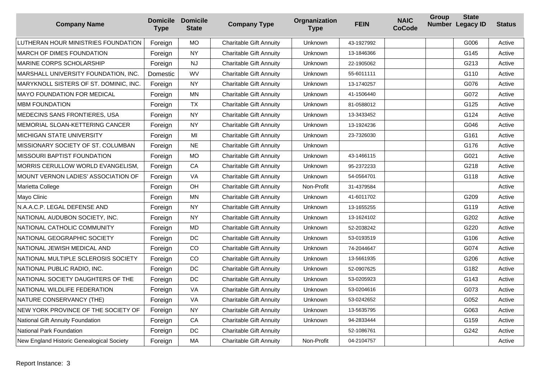| <b>Company Name</b>                       | <b>Domicile Domicile</b><br><b>Type</b> | <b>State</b> | <b>Company Type</b>            | Orgnanization<br><b>Type</b> | <b>FEIN</b> | <b>NAIC</b><br><b>CoCode</b> | Group | <b>State</b><br>Number Legacy ID | <b>Status</b> |
|-------------------------------------------|-----------------------------------------|--------------|--------------------------------|------------------------------|-------------|------------------------------|-------|----------------------------------|---------------|
| LUTHERAN HOUR MINISTRIES FOUNDATION       | Foreign                                 | <b>MO</b>    | <b>Charitable Gift Annuity</b> | Unknown                      | 43-1927992  |                              |       | G006                             | Active        |
| <b>MARCH OF DIMES FOUNDATION</b>          | Foreign                                 | <b>NY</b>    | <b>Charitable Gift Annuity</b> | Unknown                      | 13-1846366  |                              |       | G145                             | Active        |
| <b>MARINE CORPS SCHOLARSHIP</b>           | Foreign                                 | <b>NJ</b>    | <b>Charitable Gift Annuity</b> | Unknown                      | 22-1905062  |                              |       | G213                             | Active        |
| MARSHALL UNIVERSITY FOUNDATION, INC.      | Domestic                                | <b>WV</b>    | <b>Charitable Gift Annuity</b> | Unknown                      | 55-6011111  |                              |       | G110                             | Active        |
| MARYKNOLL SISTERS OF ST. DOMINIC, INC.    | Foreign                                 | <b>NY</b>    | <b>Charitable Gift Annuity</b> | <b>Unknown</b>               | 13-1740257  |                              |       | G076                             | Active        |
| <b>MAYO FOUNDATION FOR MEDICAL</b>        | Foreign                                 | <b>MN</b>    | <b>Charitable Gift Annuity</b> | Unknown                      | 41-1506440  |                              |       | G072                             | Active        |
| <b>MBM FOUNDATION</b>                     | Foreign                                 | <b>TX</b>    | <b>Charitable Gift Annuity</b> | Unknown                      | 81-0588012  |                              |       | G125                             | Active        |
| MEDECINS SANS FRONTIERES, USA             | Foreign                                 | <b>NY</b>    | <b>Charitable Gift Annuity</b> | Unknown                      | 13-3433452  |                              |       | G124                             | Active        |
| MEMORIAL SLOAN-KETTERING CANCER           | Foreign                                 | <b>NY</b>    | <b>Charitable Gift Annuity</b> | Unknown                      | 13-1924236  |                              |       | G046                             | Active        |
| <b>MICHIGAN STATE UNIVERSITY</b>          | Foreign                                 | MI           | <b>Charitable Gift Annuity</b> | Unknown                      | 23-7326030  |                              |       | G161                             | Active        |
| MISSIONARY SOCIETY OF ST. COLUMBAN        | Foreign                                 | <b>NE</b>    | <b>Charitable Gift Annuity</b> | Unknown                      |             |                              |       | G176                             | Active        |
| <b>MISSOURI BAPTIST FOUNDATION</b>        | Foreign                                 | <b>MO</b>    | <b>Charitable Gift Annuity</b> | Unknown                      | 43-1466115  |                              |       | G021                             | Active        |
| MORRIS CERULLOW WORLD EVANGELISM,         | Foreign                                 | CA           | <b>Charitable Gift Annuity</b> | Unknown                      | 95-2372233  |                              |       | G218                             | Active        |
| MOUNT VERNON LADIES' ASSOCIATION OF       | Foreign                                 | VA           | <b>Charitable Gift Annuity</b> | Unknown                      | 54-0564701  |                              |       | G118                             | Active        |
| Marietta College                          | Foreign                                 | OH           | <b>Charitable Gift Annuity</b> | Non-Profit                   | 31-4379584  |                              |       |                                  | Active        |
| Mayo Clinic                               | Foreign                                 | ΜN           | <b>Charitable Gift Annuity</b> | Unknown                      | 41-6011702  |                              |       | G209                             | Active        |
| N.A.A.C.P. LEGAL DEFENSE AND              | Foreign                                 | <b>NY</b>    | <b>Charitable Gift Annuity</b> | Unknown                      | 13-1655255  |                              |       | G119                             | Active        |
| NATIONAL AUDUBON SOCIETY, INC.            | Foreign                                 | <b>NY</b>    | <b>Charitable Gift Annuity</b> | Unknown                      | 13-1624102  |                              |       | G202                             | Active        |
| NATIONAL CATHOLIC COMMUNITY               | Foreign                                 | <b>MD</b>    | <b>Charitable Gift Annuity</b> | Unknown                      | 52-2038242  |                              |       | G220                             | Active        |
| NATIONAL GEOGRAPHIC SOCIETY               | Foreign                                 | DC           | <b>Charitable Gift Annuity</b> | Unknown                      | 53-0193519  |                              |       | G106                             | Active        |
| NATIONAL JEWISH MEDICAL AND               | Foreign                                 | CO           | <b>Charitable Gift Annuity</b> | Unknown                      | 74-2044647  |                              |       | G074                             | Active        |
| NATIONAL MULTIPLE SCLEROSIS SOCIETY       | Foreign                                 | CO           | <b>Charitable Gift Annuity</b> | Unknown                      | 13-5661935  |                              |       | G206                             | Active        |
| NATIONAL PUBLIC RADIO, INC.               | Foreign                                 | DC           | <b>Charitable Gift Annuity</b> | Unknown                      | 52-0907625  |                              |       | G182                             | Active        |
| NATIONAL SOCIETY DAUGHTERS OF THE         | Foreign                                 | DC           | <b>Charitable Gift Annuity</b> | Unknown                      | 53-0205923  |                              |       | G143                             | Active        |
| NATIONAL WILDLIFE FEDERATION              | Foreign                                 | VA           | <b>Charitable Gift Annuity</b> | Unknown                      | 53-0204616  |                              |       | G073                             | Active        |
| NATURE CONSERVANCY (THE)                  | Foreign                                 | VA           | <b>Charitable Gift Annuity</b> | Unknown                      | 53-0242652  |                              |       | G052                             | Active        |
| NEW YORK PROVINCE OF THE SOCIETY OF       | Foreign                                 | <b>NY</b>    | <b>Charitable Gift Annuity</b> | Unknown                      | 13-5635795  |                              |       | G063                             | Active        |
| <b>National Gift Annuity Foundation</b>   | Foreign                                 | CA           | <b>Charitable Gift Annuity</b> | Unknown                      | 94-2833444  |                              |       | G159                             | Active        |
| National Park Foundation                  | Foreign                                 | DC           | <b>Charitable Gift Annuity</b> |                              | 52-1086761  |                              |       | G242                             | Active        |
| New England Historic Genealogical Society | Foreign                                 | MA           | <b>Charitable Gift Annuity</b> | Non-Profit                   | 04-2104757  |                              |       |                                  | Active        |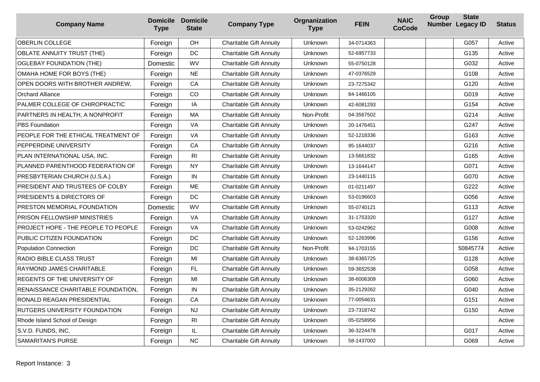| <b>Company Name</b>                    | <b>Domicile Domicile</b><br><b>Type</b> | <b>State</b>   | <b>Company Type</b>            | Orgnanization<br><b>Type</b> | <b>FEIN</b> | <b>NAIC</b><br><b>CoCode</b> | <b>Group</b> | <b>State</b><br>Number Legacy ID | <b>Status</b> |
|----------------------------------------|-----------------------------------------|----------------|--------------------------------|------------------------------|-------------|------------------------------|--------------|----------------------------------|---------------|
| <b>OBERLIN COLLEGE</b>                 | Foreign                                 | OH             | <b>Charitable Gift Annuity</b> | Unknown                      | 34-0714363  |                              |              | G057                             | Active        |
| <b>OBLATE ANNUITY TRUST (THE)</b>      | Foreign                                 | <b>DC</b>      | <b>Charitable Gift Annuity</b> | Unknown                      | 52-6957733  |                              |              | G135                             | Active        |
| <b>OGLEBAY FOUNDATION (THE)</b>        | Domestic                                | WV             | <b>Charitable Gift Annuity</b> | Unknown                      | 55-0750128  |                              |              | G032                             | Active        |
| OMAHA HOME FOR BOYS (THE)              | Foreign                                 | <b>NE</b>      | <b>Charitable Gift Annuity</b> | Unknown                      | 47-0376529  |                              |              | G108                             | Active        |
| OPEN DOORS WITH BROTHER ANDREW,        | Foreign                                 | CA             | <b>Charitable Gift Annuity</b> | Unknown                      | 23-7275342  |                              |              | G120                             | Active        |
| <b>Orchard Alliance</b>                | Foreign                                 | CO             | <b>Charitable Gift Annuity</b> | Unknown                      | 84-1466105  |                              |              | G019                             | Active        |
| PALMER COLLEGE OF CHIROPRACTIC         | Foreign                                 | IA             | <b>Charitable Gift Annuity</b> | Unknown                      | 42-6081293  |                              |              | G154                             | Active        |
| PARTNERS IN HEALTH, A NONPROFIT        | Foreign                                 | MA             | <b>Charitable Gift Annuity</b> | Non-Profit                   | 04-3567502  |                              |              | G214                             | Active        |
| <b>PBS Foundation</b>                  | Foreign                                 | VA             | <b>Charitable Gift Annuity</b> | Unknown                      | 20-1476451  |                              |              | G247                             | Active        |
| PEOPLE FOR THE ETHICAL TREATMENT OF    | Foreign                                 | VA             | <b>Charitable Gift Annuity</b> | Unknown                      | 52-1218336  |                              |              | G163                             | Active        |
| PEPPERDINE UNIVERSITY                  | Foreign                                 | CA             | <b>Charitable Gift Annuity</b> | Unknown                      | 95-1644037  |                              |              | G216                             | Active        |
| PLAN INTERNATIONAL USA, INC.           | Foreign                                 | R <sub>l</sub> | <b>Charitable Gift Annuity</b> | Unknown                      | 13-5661832  |                              |              | G165                             | Active        |
| PLANNED PARENTHOOD FEDERATION OF       | Foreign                                 | <b>NY</b>      | <b>Charitable Gift Annuity</b> | Unknown                      | 13-1644147  |                              |              | G071                             | Active        |
| PRESBYTERIAN CHURCH (U.S.A.)           | Foreign                                 | IN             | <b>Charitable Gift Annuity</b> | Unknown                      | 23-1440115  |                              |              | G070                             | Active        |
| <b>PRESIDENT AND TRUSTEES OF COLBY</b> | Foreign                                 | <b>ME</b>      | <b>Charitable Gift Annuity</b> | Unknown                      | 01-0211497  |                              |              | G222                             | Active        |
| PRESIDENTS & DIRECTORS OF              | Foreign                                 | DC             | <b>Charitable Gift Annuity</b> | Unknown                      | 53-0196603  |                              |              | G056                             | Active        |
| PRESTON MEMORIAL FOUNDATION            | Domestic                                | WV             | <b>Charitable Gift Annuity</b> | Unknown                      | 55-0740121  |                              |              | G113                             | Active        |
| <b>PRISON FELLOWSHIP MINISTRIES</b>    | Foreign                                 | VA             | <b>Charitable Gift Annuity</b> | Unknown                      | 31-1753320  |                              |              | G127                             | Active        |
| PROJECT HOPE - THE PEOPLE TO PEOPLE    | Foreign                                 | VA             | <b>Charitable Gift Annuity</b> | Unknown                      | 53-0242962  |                              |              | G008                             | Active        |
| PUBLIC CITIZEN FOUNDATION              | Foreign                                 | DC             | <b>Charitable Gift Annuity</b> | Unknown                      | 52-1263996  |                              |              | G156                             | Active        |
| <b>Population Connection</b>           | Foreign                                 | DC             | <b>Charitable Gift Annuity</b> | Non-Profit                   | 94-1703155  |                              |              | 50845774                         | Active        |
| RADIO BIBLE CLASS TRUST                | Foreign                                 | MI             | <b>Charitable Gift Annuity</b> | Unknown                      | 38-6365725  |                              |              | G128                             | Active        |
| RAYMOND JAMES CHARITABLE               | Foreign                                 | FL.            | <b>Charitable Gift Annuity</b> | Unknown                      | 59-3652538  |                              |              | G058                             | Active        |
| REGENTS OF THE UNIVERSITY OF           | Foreign                                 | MI             | <b>Charitable Gift Annuity</b> | Unknown                      | 38-6006309  |                              |              | G060                             | Active        |
| RENAISSANCE CHARITABLE FOUNDATION,     | Foreign                                 | IN             | <b>Charitable Gift Annuity</b> | Unknown                      | 35-2129262  |                              |              | G040                             | Active        |
| RONALD REAGAN PRESIDENTIAL             | Foreign                                 | CA             | <b>Charitable Gift Annuity</b> | Unknown                      | 77-0054631  |                              |              | G151                             | Active        |
| <b>RUTGERS UNIVERSITY FOUNDATION</b>   | Foreign                                 | <b>NJ</b>      | <b>Charitable Gift Annuity</b> | Unknown                      | 23-7318742  |                              |              | G150                             | Active        |
| Rhode Island School of Design          | Foreign                                 | R <sub>l</sub> | <b>Charitable Gift Annuity</b> | Unknown                      | 05-0258956  |                              |              |                                  | Active        |
| S.V.D. FUNDS, INC.                     | Foreign                                 | IL             | <b>Charitable Gift Annuity</b> | Unknown                      | 36-3224478  |                              |              | G017                             | Active        |
| <b>SAMARITAN'S PURSE</b>               | Foreign                                 | <b>NC</b>      | <b>Charitable Gift Annuity</b> | Unknown                      | 58-1437002  |                              |              | G069                             | Active        |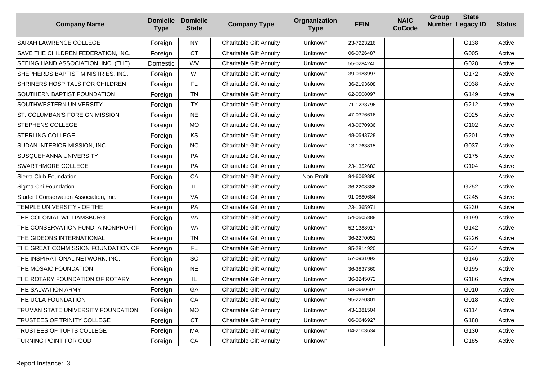| <b>Company Name</b>                    | <b>Type</b> | <b>Domicile Domicile</b><br><b>State</b> | <b>Company Type</b>            | Orgnanization<br><b>Type</b> | <b>FEIN</b> | <b>NAIC</b><br><b>CoCode</b> | Group | <b>State</b><br>Number Legacy ID | <b>Status</b> |
|----------------------------------------|-------------|------------------------------------------|--------------------------------|------------------------------|-------------|------------------------------|-------|----------------------------------|---------------|
| SARAH LAWRENCE COLLEGE                 | Foreign     | <b>NY</b>                                | <b>Charitable Gift Annuity</b> | Unknown                      | 23-7223216  |                              |       | G138                             | Active        |
| SAVE THE CHILDREN FEDERATION, INC.     | Foreign     | <b>CT</b>                                | <b>Charitable Gift Annuity</b> | Unknown                      | 06-0726487  |                              |       | G005                             | Active        |
| SEEING HAND ASSOCIATION, INC. (THE)    | Domestic    | WV                                       | <b>Charitable Gift Annuity</b> | Unknown                      | 55-0284240  |                              |       | G028                             | Active        |
| SHEPHERDS BAPTIST MINISTRIES, INC.     | Foreign     | WI                                       | <b>Charitable Gift Annuity</b> | Unknown                      | 39-0988997  |                              |       | G172                             | Active        |
| SHRINERS HOSPITALS FOR CHILDREN        | Foreign     | FL.                                      | <b>Charitable Gift Annuity</b> | Unknown                      | 36-2193608  |                              |       | G038                             | Active        |
| SOUTHERN BAPTIST FOUNDATION            | Foreign     | <b>TN</b>                                | <b>Charitable Gift Annuity</b> | Unknown                      | 62-0508097  |                              |       | G149                             | Active        |
| SOUTHWESTERN UNIVERSITY                | Foreign     | <b>TX</b>                                | <b>Charitable Gift Annuity</b> | Unknown                      | 71-1233796  |                              |       | G212                             | Active        |
| ST. COLUMBAN'S FOREIGN MISSION         | Foreign     | <b>NE</b>                                | <b>Charitable Gift Annuity</b> | Unknown                      | 47-0376616  |                              |       | G025                             | Active        |
| STEPHENS COLLEGE                       | Foreign     | <b>MO</b>                                | <b>Charitable Gift Annuity</b> | Unknown                      | 43-0670936  |                              |       | G102                             | Active        |
| STERLING COLLEGE                       | Foreign     | KS                                       | <b>Charitable Gift Annuity</b> | Unknown                      | 48-0543728  |                              |       | G201                             | Active        |
| SUDAN INTERIOR MISSION, INC.           | Foreign     | <b>NC</b>                                | <b>Charitable Gift Annuity</b> | Unknown                      | 13-1763815  |                              |       | G037                             | Active        |
| SUSQUEHANNA UNIVERSITY                 | Foreign     | PA                                       | <b>Charitable Gift Annuity</b> | Unknown                      |             |                              |       | G175                             | Active        |
| SWARTHMORE COLLEGE                     | Foreign     | <b>PA</b>                                | <b>Charitable Gift Annuity</b> | Unknown                      | 23-1352683  |                              |       | G104                             | Active        |
| Sierra Club Foundation                 | Foreign     | CA                                       | <b>Charitable Gift Annuity</b> | Non-Profit                   | 94-6069890  |                              |       |                                  | Active        |
| Sigma Chi Foundation                   | Foreign     | IL.                                      | <b>Charitable Gift Annuity</b> | Unknown                      | 36-2208386  |                              |       | G252                             | Active        |
| Student Conservation Association, Inc. | Foreign     | VA                                       | <b>Charitable Gift Annuity</b> | Unknown                      | 91-0880684  |                              |       | G245                             | Active        |
| TEMPLE UNIVERSITY - OF THE             | Foreign     | PA                                       | <b>Charitable Gift Annuity</b> | Unknown                      | 23-1365971  |                              |       | G230                             | Active        |
| THE COLONIAL WILLIAMSBURG              | Foreign     | VA                                       | <b>Charitable Gift Annuity</b> | Unknown                      | 54-0505888  |                              |       | G199                             | Active        |
| THE CONSERVATION FUND, A NONPROFIT     | Foreign     | VA                                       | <b>Charitable Gift Annuity</b> | Unknown                      | 52-1388917  |                              |       | G142                             | Active        |
| THE GIDEONS INTERNATIONAL              | Foreign     | <b>TN</b>                                | <b>Charitable Gift Annuity</b> | Unknown                      | 36-2270051  |                              |       | G226                             | Active        |
| THE GREAT COMMISSION FOUNDATION OF     | Foreign     | FL                                       | <b>Charitable Gift Annuity</b> | Unknown                      | 95-2814920  |                              |       | G234                             | Active        |
| THE INSPIRATIONAL NETWORK, INC.        | Foreign     | SC                                       | <b>Charitable Gift Annuity</b> | Unknown                      | 57-0931093  |                              |       | G146                             | Active        |
| THE MOSAIC FOUNDATION                  | Foreign     | <b>NE</b>                                | <b>Charitable Gift Annuity</b> | Unknown                      | 36-3837360  |                              |       | G195                             | Active        |
| THE ROTARY FOUNDATION OF ROTARY        | Foreign     | $\sf IL$                                 | <b>Charitable Gift Annuity</b> | Unknown                      | 36-3245072  |                              |       | G186                             | Active        |
| THE SALVATION ARMY                     | Foreign     | GA                                       | <b>Charitable Gift Annuity</b> | Unknown                      | 58-0660607  |                              |       | G010                             | Active        |
| THE UCLA FOUNDATION                    | Foreign     | CA                                       | <b>Charitable Gift Annuity</b> | Unknown                      | 95-2250801  |                              |       | G018                             | Active        |
| TRUMAN STATE UNIVERSITY FOUNDATION     | Foreign     | <b>MO</b>                                | <b>Charitable Gift Annuity</b> | Unknown                      | 43-1381504  |                              |       | G114                             | Active        |
| TRUSTEES OF TRINITY COLLEGE            | Foreign     | <b>CT</b>                                | <b>Charitable Gift Annuity</b> | Unknown                      | 06-0646927  |                              |       | G188                             | Active        |
| TRUSTEES OF TUFTS COLLEGE              | Foreign     | MA                                       | <b>Charitable Gift Annuity</b> | Unknown                      | 04-2103634  |                              |       | G130                             | Active        |
| TURNING POINT FOR GOD                  | Foreign     | CA                                       | <b>Charitable Gift Annuity</b> | Unknown                      |             |                              |       | G185                             | Active        |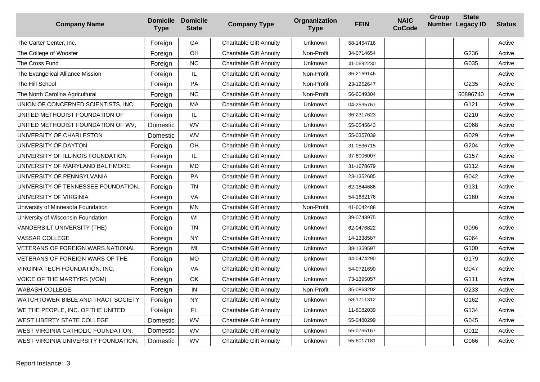| <b>Company Name</b>                  | <b>Type</b> | <b>Domicile Domicile</b><br><b>State</b> | <b>Company Type</b>            | Orgnanization<br><b>Type</b> | <b>FEIN</b> | <b>NAIC</b><br><b>CoCode</b> | Group | <b>State</b><br>Number Legacy ID | <b>Status</b> |
|--------------------------------------|-------------|------------------------------------------|--------------------------------|------------------------------|-------------|------------------------------|-------|----------------------------------|---------------|
| The Carter Center, Inc.              | Foreign     | GA                                       | <b>Charitable Gift Annuity</b> | Unknown                      | 58-1454716  |                              |       |                                  | Active        |
| The College of Wooster               | Foreign     | OH                                       | <b>Charitable Gift Annuity</b> | Non-Profit                   | 34-0714654  |                              |       | G236                             | Active        |
| The Cross Fund                       | Foreign     | <b>NC</b>                                | <b>Charitable Gift Annuity</b> | Unknown                      | 41-0692230  |                              |       | G035                             | Active        |
| The Evangelical Alliance Mission     | Foreign     | IL                                       | <b>Charitable Gift Annuity</b> | Non-Profit                   | 36-2169146  |                              |       |                                  | Active        |
| The Hill School                      | Foreign     | <b>PA</b>                                | <b>Charitable Gift Annuity</b> | Non-Profit                   | 23-1252647  |                              |       | G235                             | Active        |
| The North Carolina Agricultural      | Foreign     | <b>NC</b>                                | <b>Charitable Gift Annuity</b> | Non-Profit                   | 56-6049304  |                              |       | 50896740                         | Active        |
| UNION OF CONCERNED SCIENTISTS, INC.  | Foreign     | MA                                       | <b>Charitable Gift Annuity</b> | Unknown                      | 04-2535767  |                              |       | G121                             | Active        |
| UNITED METHODIST FOUNDATION OF       | Foreign     | IL                                       | <b>Charitable Gift Annuity</b> | <b>Unknown</b>               | 36-2317623  |                              |       | G210                             | Active        |
| UNITED METHODIST FOUNDATION OF WV.   | Domestic    | WV                                       | <b>Charitable Gift Annuity</b> | <b>Unknown</b>               | 55-0545643  |                              |       | G068                             | Active        |
| UNIVERSITY OF CHARLESTON             | Domestic    | WV                                       | <b>Charitable Gift Annuity</b> | Unknown                      | 55-0357039  |                              |       | G029                             | Active        |
| UNIVERSITY OF DAYTON                 | Foreign     | OH                                       | <b>Charitable Gift Annuity</b> | Unknown                      | 31-0536715  |                              |       | G204                             | Active        |
| UNIVERSITY OF ILLINOIS FOUNDATION    | Foreign     | IL.                                      | <b>Charitable Gift Annuity</b> | Unknown                      | 37-6006007  |                              |       | G157                             | Active        |
| UNIVERSITY OF MARYLAND BALTIMORE     | Foreign     | MD                                       | <b>Charitable Gift Annuity</b> | <b>Unknown</b>               | 31-1678679  |                              |       | G112                             | Active        |
| UNIVERSITY OF PENNSYLVANIA           | Foreign     | PA                                       | <b>Charitable Gift Annuity</b> | Unknown                      | 23-1352685  |                              |       | G042                             | Active        |
| UNIVERSITY OF TENNESSEE FOUNDATION.  | Foreign     | <b>TN</b>                                | <b>Charitable Gift Annuity</b> | Unknown                      | 62-1844686  |                              |       | G131                             | Active        |
| UNIVERSITY OF VIRGINIA               | Foreign     | VA                                       | <b>Charitable Gift Annuity</b> | Unknown                      | 54-1682176  |                              |       | G160                             | Active        |
| University of Minnesota Foundation   | Foreign     | <b>MN</b>                                | <b>Charitable Gift Annuity</b> | Non-Profit                   | 41-6042488  |                              |       |                                  | Active        |
| University of Wisconsin Foundation   | Foreign     | WI                                       | <b>Charitable Gift Annuity</b> | Unknown                      | 39-0743975  |                              |       |                                  | Active        |
| VANDERBILT UNIVERSITY (THE)          | Foreign     | <b>TN</b>                                | <b>Charitable Gift Annuity</b> | <b>Unknown</b>               | 62-0476822  |                              |       | G096                             | Active        |
| VASSAR COLLEGE                       | Foreign     | NY                                       | <b>Charitable Gift Annuity</b> | Unknown                      | 14-1338587  |                              |       | G064                             | Active        |
| VETERANS OF FOREIGN WARS NATIONAL    | Foreign     | MI                                       | <b>Charitable Gift Annuity</b> | <b>Unknown</b>               | 38-1359597  |                              |       | G100                             | Active        |
| VETERANS OF FOREIGN WARS OF THE      | Foreign     | <b>MO</b>                                | <b>Charitable Gift Annuity</b> | Unknown                      | 44-0474290  |                              |       | G179                             | Active        |
| VIRGINIA TECH FOUNDATION, INC.       | Foreign     | VA                                       | <b>Charitable Gift Annuity</b> | Unknown                      | 54-0721690  |                              |       | G047                             | Active        |
| VOICE OF THE MARTYRS (VOM)           | Foreign     | OK                                       | <b>Charitable Gift Annuity</b> | Unknown                      | 73-1395057  |                              |       | G111                             | Active        |
| WABASH COLLEGE                       | Foreign     | IN                                       | <b>Charitable Gift Annuity</b> | Non-Profit                   | 35-0868202  |                              |       | G233                             | Active        |
| WATCHTOWER BIBLE AND TRACT SOCIETY   | Foreign     | <b>NY</b>                                | <b>Charitable Gift Annuity</b> | Unknown                      | 58-1711312  |                              |       | G162                             | Active        |
| WE THE PEOPLE, INC. OF THE UNITED    | Foreign     | FL.                                      | <b>Charitable Gift Annuity</b> | <b>Unknown</b>               | 11-8082039  |                              |       | G134                             | Active        |
| WEST LIBERTY STATE COLLEGE           | Domestic    | <b>WV</b>                                | <b>Charitable Gift Annuity</b> | Unknown                      | 55-0480299  |                              |       | G045                             | Active        |
| WEST VIRGINIA CATHOLIC FOUNDATION,   | Domestic    | WV                                       | <b>Charitable Gift Annuity</b> | Unknown                      | 55-0755167  |                              |       | G012                             | Active        |
| WEST VIRGINIA UNIVERSITY FOUNDATION. | Domestic    | <b>WV</b>                                | <b>Charitable Gift Annuity</b> | <b>Unknown</b>               | 55-6017181  |                              |       | G066                             | Active        |